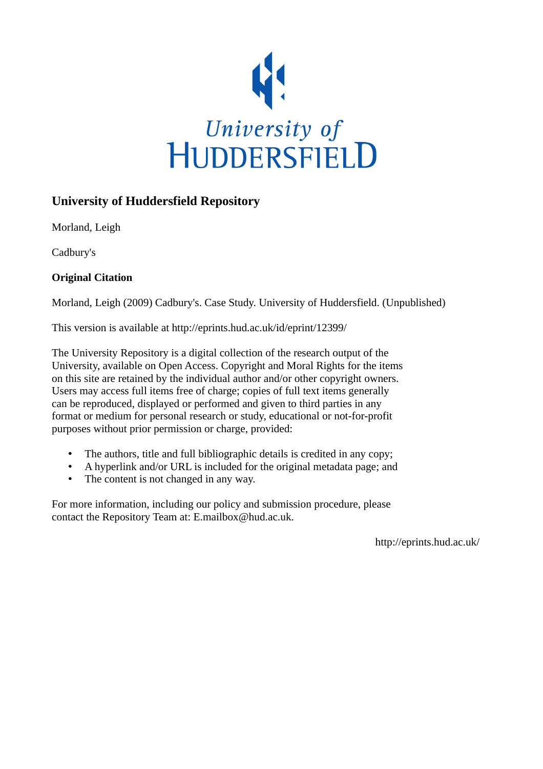

# **University of Huddersfield Repository**

Morland, Leigh

Cadbury's

# **Original Citation**

Morland, Leigh (2009) Cadbury's. Case Study. University of Huddersfield. (Unpublished)

This version is available at http://eprints.hud.ac.uk/id/eprint/12399/

The University Repository is a digital collection of the research output of the University, available on Open Access. Copyright and Moral Rights for the items on this site are retained by the individual author and/or other copyright owners. Users may access full items free of charge; copies of full text items generally can be reproduced, displayed or performed and given to third parties in any format or medium for personal research or study, educational or not-for-profit purposes without prior permission or charge, provided:

- The authors, title and full bibliographic details is credited in any copy;
- A hyperlink and/or URL is included for the original metadata page; and
- The content is not changed in any way.

For more information, including our policy and submission procedure, please contact the Repository Team at: E.mailbox@hud.ac.uk.

http://eprints.hud.ac.uk/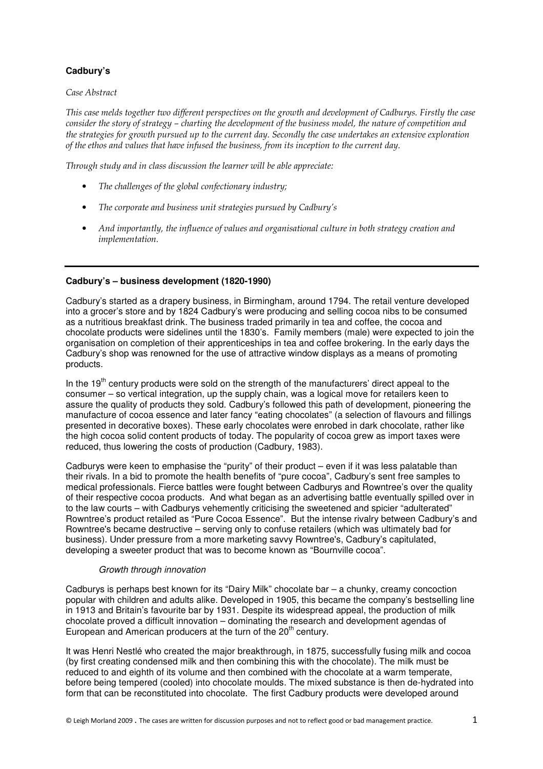# **Cadbury's**

## Case Abstract

This case melds together two different perspectives on the growth and development of Cadburys. Firstly the case consider the story of strategy – charting the development of the business model, the nature of competition and the strategies for growth pursued up to the current day. Secondly the case undertakes an extensive exploration of the ethos and values that have infused the business, from its inception to the current day.

Through study and in class discussion the learner will be able appreciate:

- The challenges of the global confectionary industry;
- The corporate and business unit strategies pursued by Cadbury's
- And importantly, the influence of values and organisational culture in both strategy creation and implementation.

# **Cadbury's – business development (1820-1990)**

Cadbury's started as a drapery business, in Birmingham, around 1794. The retail venture developed into a grocer's store and by 1824 Cadbury's were producing and selling cocoa nibs to be consumed as a nutritious breakfast drink. The business traded primarily in tea and coffee, the cocoa and chocolate products were sidelines until the 1830's. Family members (male) were expected to join the organisation on completion of their apprenticeships in tea and coffee brokering. In the early days the Cadbury's shop was renowned for the use of attractive window displays as a means of promoting products.

In the  $19<sup>th</sup>$  century products were sold on the strength of the manufacturers' direct appeal to the consumer – so vertical integration, up the supply chain, was a logical move for retailers keen to assure the quality of products they sold. Cadbury's followed this path of development, pioneering the manufacture of cocoa essence and later fancy "eating chocolates" (a selection of flavours and fillings presented in decorative boxes). These early chocolates were enrobed in dark chocolate, rather like the high cocoa solid content products of today. The popularity of cocoa grew as import taxes were reduced, thus lowering the costs of production (Cadbury, 1983).

Cadburys were keen to emphasise the "purity" of their product – even if it was less palatable than their rivals. In a bid to promote the health benefits of "pure cocoa", Cadbury's sent free samples to medical professionals. Fierce battles were fought between Cadburys and Rowntree's over the quality of their respective cocoa products. And what began as an advertising battle eventually spilled over in to the law courts – with Cadburys vehemently criticising the sweetened and spicier "adulterated" Rowntree's product retailed as "Pure Cocoa Essence". But the intense rivalry between Cadbury's and Rowntree's became destructive – serving only to confuse retailers (which was ultimately bad for business). Under pressure from a more marketing savvy Rowntree's, Cadbury's capitulated, developing a sweeter product that was to become known as "Bournville cocoa".

## Growth through innovation

Cadburys is perhaps best known for its "Dairy Milk" chocolate bar – a chunky, creamy concoction popular with children and adults alike. Developed in 1905, this became the company's bestselling line in 1913 and Britain's favourite bar by 1931. Despite its widespread appeal, the production of milk chocolate proved a difficult innovation – dominating the research and development agendas of European and American producers at the turn of the 20<sup>th</sup> century.

It was Henri Nestlé who created the major breakthrough, in 1875, successfully fusing milk and cocoa (by first creating condensed milk and then combining this with the chocolate). The milk must be reduced to and eighth of its volume and then combined with the chocolate at a warm temperate, before being tempered (cooled) into chocolate moulds. The mixed substance is then de-hydrated into form that can be reconstituted into chocolate. The first Cadbury products were developed around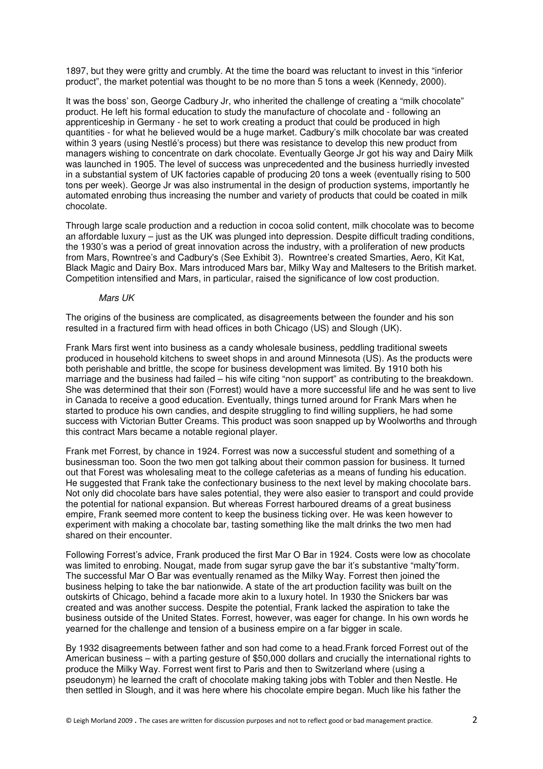1897, but they were gritty and crumbly. At the time the board was reluctant to invest in this "inferior product", the market potential was thought to be no more than 5 tons a week (Kennedy, 2000).

It was the boss' son, George Cadbury Jr, who inherited the challenge of creating a "milk chocolate" product. He left his formal education to study the manufacture of chocolate and - following an apprenticeship in Germany - he set to work creating a product that could be produced in high quantities - for what he believed would be a huge market. Cadbury's milk chocolate bar was created within 3 years (using Nestlé's process) but there was resistance to develop this new product from managers wishing to concentrate on dark chocolate. Eventually George Jr got his way and Dairy Milk was launched in 1905. The level of success was unprecedented and the business hurriedly invested in a substantial system of UK factories capable of producing 20 tons a week (eventually rising to 500 tons per week). George Jr was also instrumental in the design of production systems, importantly he automated enrobing thus increasing the number and variety of products that could be coated in milk chocolate.

Through large scale production and a reduction in cocoa solid content, milk chocolate was to become an affordable luxury – just as the UK was plunged into depression. Despite difficult trading conditions, the 1930's was a period of great innovation across the industry, with a proliferation of new products from Mars, Rowntree's and Cadbury's (See Exhibit 3). Rowntree's created Smarties, Aero, Kit Kat, Black Magic and Dairy Box. Mars introduced Mars bar, Milky Way and Maltesers to the British market. Competition intensified and Mars, in particular, raised the significance of low cost production.

#### Mars UK

The origins of the business are complicated, as disagreements between the founder and his son resulted in a fractured firm with head offices in both Chicago (US) and Slough (UK).

Frank Mars first went into business as a candy wholesale business, peddling traditional sweets produced in household kitchens to sweet shops in and around Minnesota (US). As the products were both perishable and brittle, the scope for business development was limited. By 1910 both his marriage and the business had failed – his wife citing "non support" as contributing to the breakdown. She was determined that their son (Forrest) would have a more successful life and he was sent to live in Canada to receive a good education. Eventually, things turned around for Frank Mars when he started to produce his own candies, and despite struggling to find willing suppliers, he had some success with Victorian Butter Creams. This product was soon snapped up by Woolworths and through this contract Mars became a notable regional player.

Frank met Forrest, by chance in 1924. Forrest was now a successful student and something of a businessman too. Soon the two men got talking about their common passion for business. It turned out that Forest was wholesaling meat to the college cafeterias as a means of funding his education. He suggested that Frank take the confectionary business to the next level by making chocolate bars. Not only did chocolate bars have sales potential, they were also easier to transport and could provide the potential for national expansion. But whereas Forrest harboured dreams of a great business empire, Frank seemed more content to keep the business ticking over. He was keen however to experiment with making a chocolate bar, tasting something like the malt drinks the two men had shared on their encounter.

Following Forrest's advice, Frank produced the first Mar O Bar in 1924. Costs were low as chocolate was limited to enrobing. Nougat, made from sugar syrup gave the bar it's substantive "malty"form. The successful Mar O Bar was eventually renamed as the Milky Way. Forrest then joined the business helping to take the bar nationwide. A state of the art production facility was built on the outskirts of Chicago, behind a facade more akin to a luxury hotel. In 1930 the Snickers bar was created and was another success. Despite the potential, Frank lacked the aspiration to take the business outside of the United States. Forrest, however, was eager for change. In his own words he yearned for the challenge and tension of a business empire on a far bigger in scale.

By 1932 disagreements between father and son had come to a head.Frank forced Forrest out of the American business – with a parting gesture of \$50,000 dollars and crucially the international rights to produce the Milky Way. Forrest went first to Paris and then to Switzerland where (using a pseudonym) he learned the craft of chocolate making taking jobs with Tobler and then Nestle. He then settled in Slough, and it was here where his chocolate empire began. Much like his father the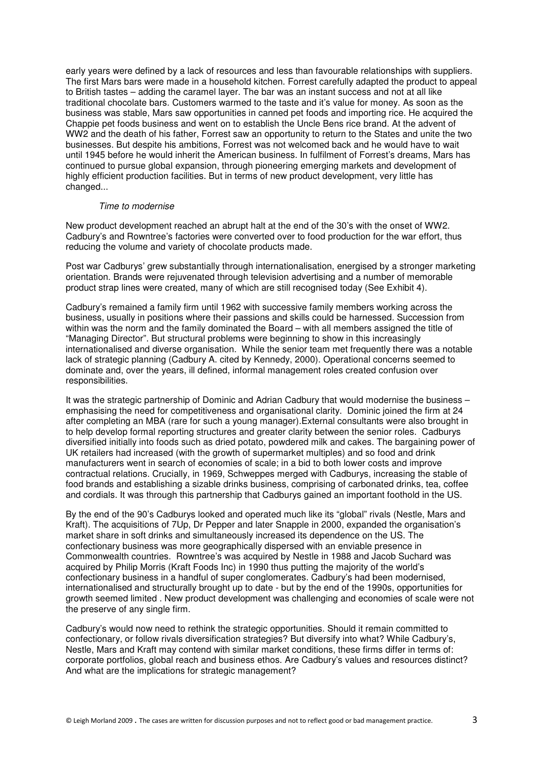early years were defined by a lack of resources and less than favourable relationships with suppliers. The first Mars bars were made in a household kitchen. Forrest carefully adapted the product to appeal to British tastes – adding the caramel layer. The bar was an instant success and not at all like traditional chocolate bars. Customers warmed to the taste and it's value for money. As soon as the business was stable, Mars saw opportunities in canned pet foods and importing rice. He acquired the Chappie pet foods business and went on to establish the Uncle Bens rice brand. At the advent of WW2 and the death of his father, Forrest saw an opportunity to return to the States and unite the two businesses. But despite his ambitions, Forrest was not welcomed back and he would have to wait until 1945 before he would inherit the American business. In fulfilment of Forrest's dreams, Mars has continued to pursue global expansion, through pioneering emerging markets and development of highly efficient production facilities. But in terms of new product development, very little has changed...

#### Time to modernise

New product development reached an abrupt halt at the end of the 30's with the onset of WW2. Cadbury's and Rowntree's factories were converted over to food production for the war effort, thus reducing the volume and variety of chocolate products made.

Post war Cadburys' grew substantially through internationalisation, energised by a stronger marketing orientation. Brands were rejuvenated through television advertising and a number of memorable product strap lines were created, many of which are still recognised today (See Exhibit 4).

Cadbury's remained a family firm until 1962 with successive family members working across the business, usually in positions where their passions and skills could be harnessed. Succession from within was the norm and the family dominated the Board – with all members assigned the title of "Managing Director". But structural problems were beginning to show in this increasingly internationalised and diverse organisation. While the senior team met frequently there was a notable lack of strategic planning (Cadbury A. cited by Kennedy, 2000). Operational concerns seemed to dominate and, over the years, ill defined, informal management roles created confusion over responsibilities.

It was the strategic partnership of Dominic and Adrian Cadbury that would modernise the business – emphasising the need for competitiveness and organisational clarity. Dominic joined the firm at 24 after completing an MBA (rare for such a young manager).External consultants were also brought in to help develop formal reporting structures and greater clarity between the senior roles. Cadburys diversified initially into foods such as dried potato, powdered milk and cakes. The bargaining power of UK retailers had increased (with the growth of supermarket multiples) and so food and drink manufacturers went in search of economies of scale; in a bid to both lower costs and improve contractual relations. Crucially, in 1969, Schweppes merged with Cadburys, increasing the stable of food brands and establishing a sizable drinks business, comprising of carbonated drinks, tea, coffee and cordials. It was through this partnership that Cadburys gained an important foothold in the US.

By the end of the 90's Cadburys looked and operated much like its "global" rivals (Nestle, Mars and Kraft). The acquisitions of 7Up, Dr Pepper and later Snapple in 2000, expanded the organisation's market share in soft drinks and simultaneously increased its dependence on the US. The confectionary business was more geographically dispersed with an enviable presence in Commonwealth countries. Rowntree's was acquired by Nestle in 1988 and Jacob Suchard was acquired by Philip Morris (Kraft Foods Inc) in 1990 thus putting the majority of the world's confectionary business in a handful of super conglomerates. Cadbury's had been modernised, internationalised and structurally brought up to date - but by the end of the 1990s, opportunities for growth seemed limited . New product development was challenging and economies of scale were not the preserve of any single firm.

Cadbury's would now need to rethink the strategic opportunities. Should it remain committed to confectionary, or follow rivals diversification strategies? But diversify into what? While Cadbury's, Nestle, Mars and Kraft may contend with similar market conditions, these firms differ in terms of: corporate portfolios, global reach and business ethos. Are Cadbury's values and resources distinct? And what are the implications for strategic management?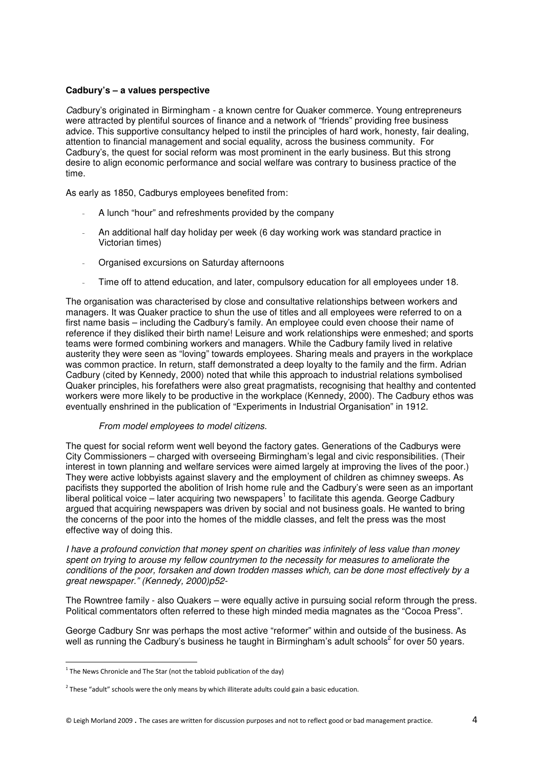# **Cadbury's – a values perspective**

Cadbury's originated in Birmingham - a known centre for Quaker commerce. Young entrepreneurs were attracted by plentiful sources of finance and a network of "friends" providing free business advice. This supportive consultancy helped to instil the principles of hard work, honesty, fair dealing, attention to financial management and social equality, across the business community. For Cadbury's, the quest for social reform was most prominent in the early business. But this strong desire to align economic performance and social welfare was contrary to business practice of the time.

As early as 1850, Cadburys employees benefited from:

- A lunch "hour" and refreshments provided by the company
- An additional half day holiday per week (6 day working work was standard practice in Victorian times)
- Organised excursions on Saturday afternoons
- Time off to attend education, and later, compulsory education for all employees under 18.

The organisation was characterised by close and consultative relationships between workers and managers. It was Quaker practice to shun the use of titles and all employees were referred to on a first name basis – including the Cadbury's family. An employee could even choose their name of reference if they disliked their birth name! Leisure and work relationships were enmeshed; and sports teams were formed combining workers and managers. While the Cadbury family lived in relative austerity they were seen as "loving" towards employees. Sharing meals and prayers in the workplace was common practice. In return, staff demonstrated a deep loyalty to the family and the firm. Adrian Cadbury (cited by Kennedy, 2000) noted that while this approach to industrial relations symbolised Quaker principles, his forefathers were also great pragmatists, recognising that healthy and contented workers were more likely to be productive in the workplace (Kennedy, 2000). The Cadbury ethos was eventually enshrined in the publication of "Experiments in Industrial Organisation" in 1912.

## From model employees to model citizens.

The quest for social reform went well beyond the factory gates. Generations of the Cadburys were City Commissioners – charged with overseeing Birmingham's legal and civic responsibilities. (Their interest in town planning and welfare services were aimed largely at improving the lives of the poor.) They were active lobbyists against slavery and the employment of children as chimney sweeps. As pacifists they supported the abolition of Irish home rule and the Cadbury's were seen as an important liberal political voice – later acquiring two newspapers<sup>1</sup> to facilitate this agenda. George Cadbury argued that acquiring newspapers was driven by social and not business goals. He wanted to bring the concerns of the poor into the homes of the middle classes, and felt the press was the most effective way of doing this.

I have a profound conviction that money spent on charities was infinitely of less value than money spent on trying to arouse my fellow countrymen to the necessity for measures to ameliorate the conditions of the poor, forsaken and down trodden masses which, can be done most effectively by a great newspaper." (Kennedy, 2000)p52-

The Rowntree family - also Quakers – were equally active in pursuing social reform through the press. Political commentators often referred to these high minded media magnates as the "Cocoa Press".

George Cadbury Snr was perhaps the most active "reformer" within and outside of the business. As well as running the Cadbury's business he taught in Birmingham's adult schools<sup>2</sup> for over 50 years.

l

 $1$  The News Chronicle and The Star (not the tabloid publication of the day)

 $2$  These "adult" schools were the only means by which illiterate adults could gain a basic education.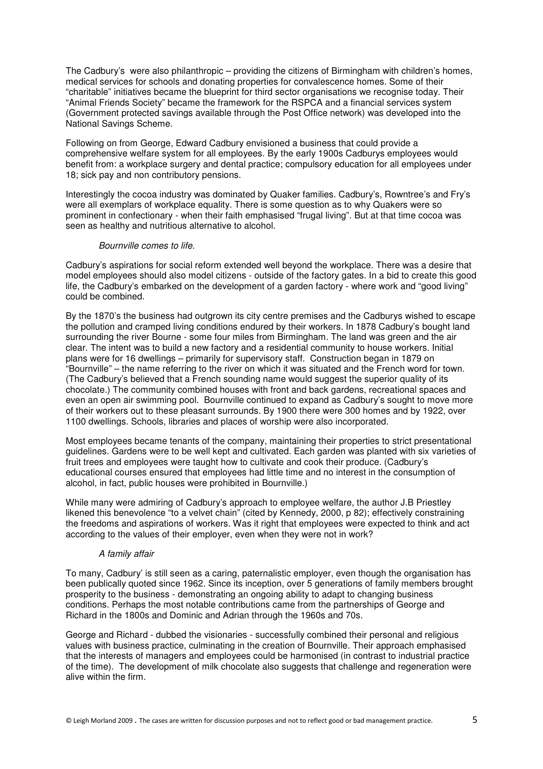The Cadbury's were also philanthropic – providing the citizens of Birmingham with children's homes, medical services for schools and donating properties for convalescence homes. Some of their "charitable" initiatives became the blueprint for third sector organisations we recognise today. Their "Animal Friends Society" became the framework for the RSPCA and a financial services system (Government protected savings available through the Post Office network) was developed into the National Savings Scheme.

Following on from George, Edward Cadbury envisioned a business that could provide a comprehensive welfare system for all employees. By the early 1900s Cadburys employees would benefit from: a workplace surgery and dental practice; compulsory education for all employees under 18; sick pay and non contributory pensions.

Interestingly the cocoa industry was dominated by Quaker families. Cadbury's, Rowntree's and Fry's were all exemplars of workplace equality. There is some question as to why Quakers were so prominent in confectionary - when their faith emphasised "frugal living". But at that time cocoa was seen as healthy and nutritious alternative to alcohol.

## Bournville comes to life.

Cadbury's aspirations for social reform extended well beyond the workplace. There was a desire that model employees should also model citizens - outside of the factory gates. In a bid to create this good life, the Cadbury's embarked on the development of a garden factory - where work and "good living" could be combined.

By the 1870's the business had outgrown its city centre premises and the Cadburys wished to escape the pollution and cramped living conditions endured by their workers. In 1878 Cadbury's bought land surrounding the river Bourne - some four miles from Birmingham. The land was green and the air clear. The intent was to build a new factory and a residential community to house workers. Initial plans were for 16 dwellings – primarily for supervisory staff. Construction began in 1879 on "Bournville" – the name referring to the river on which it was situated and the French word for town. (The Cadbury's believed that a French sounding name would suggest the superior quality of its chocolate.) The community combined houses with front and back gardens, recreational spaces and even an open air swimming pool. Bournville continued to expand as Cadbury's sought to move more of their workers out to these pleasant surrounds. By 1900 there were 300 homes and by 1922, over 1100 dwellings. Schools, libraries and places of worship were also incorporated.

Most employees became tenants of the company, maintaining their properties to strict presentational guidelines. Gardens were to be well kept and cultivated. Each garden was planted with six varieties of fruit trees and employees were taught how to cultivate and cook their produce. (Cadbury's educational courses ensured that employees had little time and no interest in the consumption of alcohol, in fact, public houses were prohibited in Bournville.)

While many were admiring of Cadbury's approach to employee welfare, the author J.B Priestley likened this benevolence "to a velvet chain" (cited by Kennedy, 2000, p 82); effectively constraining the freedoms and aspirations of workers. Was it right that employees were expected to think and act according to the values of their employer, even when they were not in work?

## A family affair

To many, Cadbury' is still seen as a caring, paternalistic employer, even though the organisation has been publically quoted since 1962. Since its inception, over 5 generations of family members brought prosperity to the business - demonstrating an ongoing ability to adapt to changing business conditions. Perhaps the most notable contributions came from the partnerships of George and Richard in the 1800s and Dominic and Adrian through the 1960s and 70s.

George and Richard - dubbed the visionaries - successfully combined their personal and religious values with business practice, culminating in the creation of Bournville. Their approach emphasised that the interests of managers and employees could be harmonised (in contrast to industrial practice of the time). The development of milk chocolate also suggests that challenge and regeneration were alive within the firm.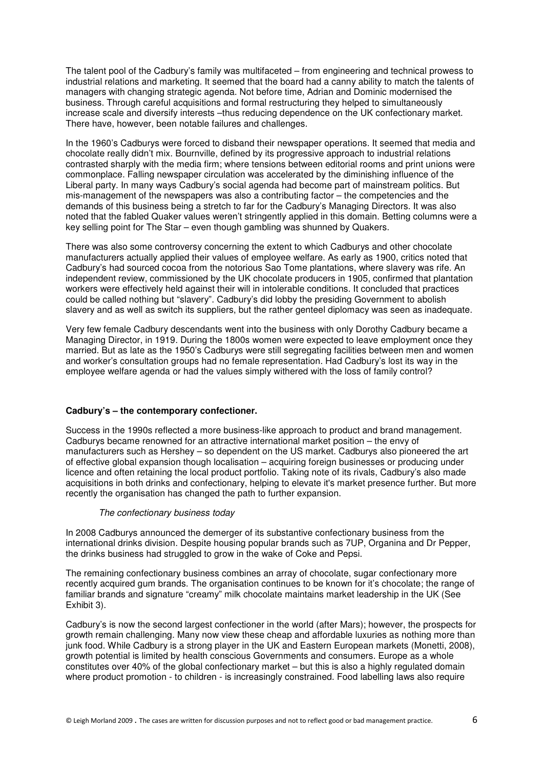The talent pool of the Cadbury's family was multifaceted – from engineering and technical prowess to industrial relations and marketing. It seemed that the board had a canny ability to match the talents of managers with changing strategic agenda. Not before time, Adrian and Dominic modernised the business. Through careful acquisitions and formal restructuring they helped to simultaneously increase scale and diversify interests –thus reducing dependence on the UK confectionary market. There have, however, been notable failures and challenges.

In the 1960's Cadburys were forced to disband their newspaper operations. It seemed that media and chocolate really didn't mix. Bournville, defined by its progressive approach to industrial relations contrasted sharply with the media firm; where tensions between editorial rooms and print unions were commonplace. Falling newspaper circulation was accelerated by the diminishing influence of the Liberal party. In many ways Cadbury's social agenda had become part of mainstream politics. But mis-management of the newspapers was also a contributing factor – the competencies and the demands of this business being a stretch to far for the Cadbury's Managing Directors. It was also noted that the fabled Quaker values weren't stringently applied in this domain. Betting columns were a key selling point for The Star – even though gambling was shunned by Quakers.

There was also some controversy concerning the extent to which Cadburys and other chocolate manufacturers actually applied their values of employee welfare. As early as 1900, critics noted that Cadbury's had sourced cocoa from the notorious Sao Tome plantations, where slavery was rife. An independent review, commissioned by the UK chocolate producers in 1905, confirmed that plantation workers were effectively held against their will in intolerable conditions. It concluded that practices could be called nothing but "slavery". Cadbury's did lobby the presiding Government to abolish slavery and as well as switch its suppliers, but the rather genteel diplomacy was seen as inadequate.

Very few female Cadbury descendants went into the business with only Dorothy Cadbury became a Managing Director, in 1919. During the 1800s women were expected to leave employment once they married. But as late as the 1950's Cadburys were still segregating facilities between men and women and worker's consultation groups had no female representation. Had Cadbury's lost its way in the employee welfare agenda or had the values simply withered with the loss of family control?

## **Cadbury's – the contemporary confectioner.**

Success in the 1990s reflected a more business-like approach to product and brand management. Cadburys became renowned for an attractive international market position – the envy of manufacturers such as Hershey – so dependent on the US market. Cadburys also pioneered the art of effective global expansion though localisation – acquiring foreign businesses or producing under licence and often retaining the local product portfolio. Taking note of its rivals, Cadbury's also made acquisitions in both drinks and confectionary, helping to elevate it's market presence further. But more recently the organisation has changed the path to further expansion.

### The confectionary business today

In 2008 Cadburys announced the demerger of its substantive confectionary business from the international drinks division. Despite housing popular brands such as 7UP, Organina and Dr Pepper, the drinks business had struggled to grow in the wake of Coke and Pepsi.

The remaining confectionary business combines an array of chocolate, sugar confectionary more recently acquired gum brands. The organisation continues to be known for it's chocolate; the range of familiar brands and signature "creamy" milk chocolate maintains market leadership in the UK (See Exhibit 3).

Cadbury's is now the second largest confectioner in the world (after Mars); however, the prospects for growth remain challenging. Many now view these cheap and affordable luxuries as nothing more than junk food. While Cadbury is a strong player in the UK and Eastern European markets (Monetti, 2008), growth potential is limited by health conscious Governments and consumers. Europe as a whole constitutes over 40% of the global confectionary market – but this is also a highly regulated domain where product promotion - to children - is increasingly constrained. Food labelling laws also require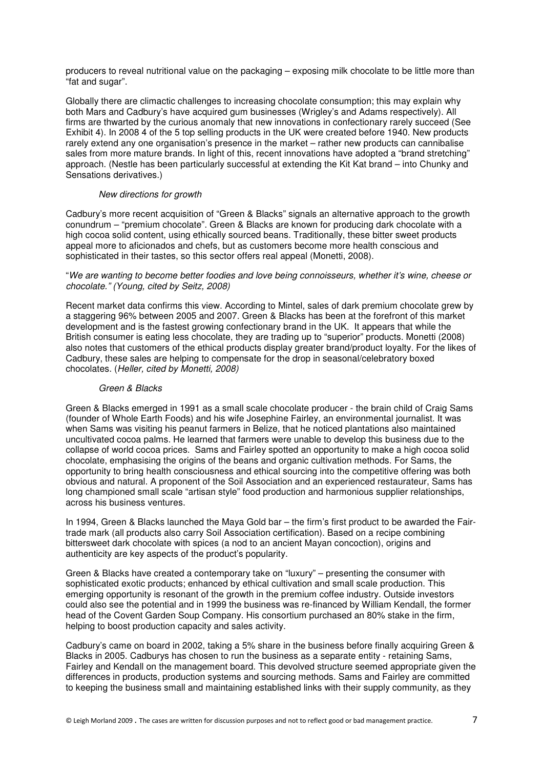producers to reveal nutritional value on the packaging – exposing milk chocolate to be little more than "fat and sugar".

Globally there are climactic challenges to increasing chocolate consumption; this may explain why both Mars and Cadbury's have acquired gum businesses (Wrigley's and Adams respectively). All firms are thwarted by the curious anomaly that new innovations in confectionary rarely succeed (See Exhibit 4). In 2008 4 of the 5 top selling products in the UK were created before 1940. New products rarely extend any one organisation's presence in the market – rather new products can cannibalise sales from more mature brands. In light of this, recent innovations have adopted a "brand stretching" approach. (Nestle has been particularly successful at extending the Kit Kat brand – into Chunky and Sensations derivatives.)

## New directions for growth

Cadbury's more recent acquisition of "Green & Blacks" signals an alternative approach to the growth conundrum – "premium chocolate". Green & Blacks are known for producing dark chocolate with a high cocoa solid content, using ethically sourced beans. Traditionally, these bitter sweet products appeal more to aficionados and chefs, but as customers become more health conscious and sophisticated in their tastes, so this sector offers real appeal (Monetti, 2008).

## "We are wanting to become better foodies and love being connoisseurs, whether it's wine, cheese or chocolate." (Young, cited by Seitz, 2008)

Recent market data confirms this view. According to Mintel, sales of dark premium chocolate grew by a staggering 96% between 2005 and 2007. Green & Blacks has been at the forefront of this market development and is the fastest growing confectionary brand in the UK. It appears that while the British consumer is eating less chocolate, they are trading up to "superior" products. Monetti (2008) also notes that customers of the ethical products display greater brand/product loyalty. For the likes of Cadbury, these sales are helping to compensate for the drop in seasonal/celebratory boxed chocolates. (Heller, cited by Monetti, 2008)

## Green & Blacks

Green & Blacks emerged in 1991 as a small scale chocolate producer - the brain child of Craig Sams (founder of Whole Earth Foods) and his wife Josephine Fairley, an environmental journalist. It was when Sams was visiting his peanut farmers in Belize, that he noticed plantations also maintained uncultivated cocoa palms. He learned that farmers were unable to develop this business due to the collapse of world cocoa prices. Sams and Fairley spotted an opportunity to make a high cocoa solid chocolate, emphasising the origins of the beans and organic cultivation methods. For Sams, the opportunity to bring health consciousness and ethical sourcing into the competitive offering was both obvious and natural. A proponent of the Soil Association and an experienced restaurateur, Sams has long championed small scale "artisan style" food production and harmonious supplier relationships, across his business ventures.

In 1994, Green & Blacks launched the Maya Gold bar – the firm's first product to be awarded the Fairtrade mark (all products also carry Soil Association certification). Based on a recipe combining bittersweet dark chocolate with spices (a nod to an ancient Mayan concoction), origins and authenticity are key aspects of the product's popularity.

Green & Blacks have created a contemporary take on "luxury" – presenting the consumer with sophisticated exotic products; enhanced by ethical cultivation and small scale production. This emerging opportunity is resonant of the growth in the premium coffee industry. Outside investors could also see the potential and in 1999 the business was re-financed by William Kendall, the former head of the Covent Garden Soup Company. His consortium purchased an 80% stake in the firm, helping to boost production capacity and sales activity.

Cadbury's came on board in 2002, taking a 5% share in the business before finally acquiring Green & Blacks in 2005. Cadburys has chosen to run the business as a separate entity - retaining Sams, Fairley and Kendall on the management board. This devolved structure seemed appropriate given the differences in products, production systems and sourcing methods. Sams and Fairley are committed to keeping the business small and maintaining established links with their supply community, as they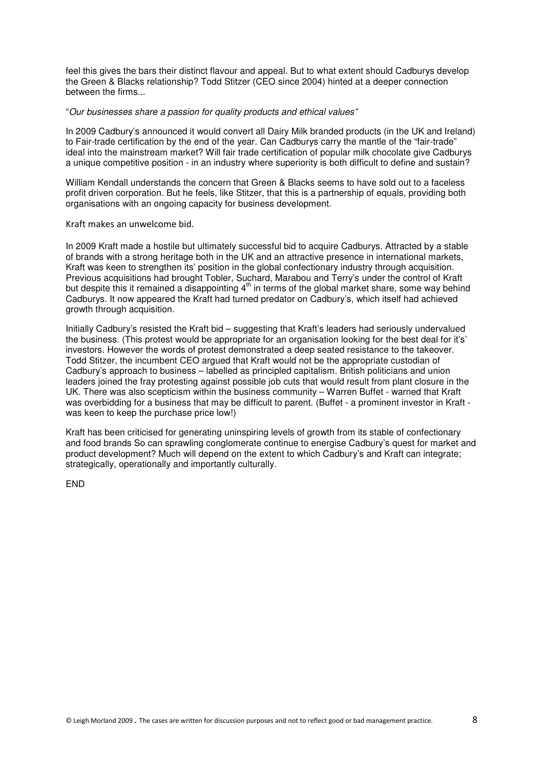feel this gives the bars their distinct flavour and appeal. But to what extent should Cadburys develop the Green & Blacks relationship? Todd Stitzer (CEO since 2004) hinted at a deeper connection between the firms...

#### "Our businesses share a passion for quality products and ethical values"

In 2009 Cadbury's announced it would convert all Dairy Milk branded products (in the UK and Ireland) to Fair-trade certification by the end of the year. Can Cadburys carry the mantle of the "fair-trade" ideal into the mainstream market? Will fair trade certification of popular milk chocolate give Cadburys a unique competitive position - in an industry where superiority is both difficult to define and sustain?

William Kendall understands the concern that Green & Blacks seems to have sold out to a faceless profit driven corporation. But he feels, like Stitzer, that this is a partnership of equals, providing both organisations with an ongoing capacity for business development.

## Kraft makes an unwelcome bid.

In 2009 Kraft made a hostile but ultimately successful bid to acquire Cadburys. Attracted by a stable of brands with a strong heritage both in the UK and an attractive presence in international markets, Kraft was keen to strengthen its' position in the global confectionary industry through acquisition. Previous acquisitions had brought Tobler, Suchard, Marabou and Terry's under the control of Kraft but despite this it remained a disappointing 4<sup>th</sup> in terms of the global market share, some way behind Cadburys. It now appeared the Kraft had turned predator on Cadbury's, which itself had achieved growth through acquisition.

Initially Cadbury's resisted the Kraft bid – suggesting that Kraft's leaders had seriously undervalued the business. (This protest would be appropriate for an organisation looking for the best deal for it's' investors. However the words of protest demonstrated a deep seated resistance to the takeover. Todd Stitzer, the incumbent CEO argued that Kraft would not be the appropriate custodian of Cadbury's approach to business – labelled as principled capitalism. British politicians and union leaders joined the fray protesting against possible job cuts that would result from plant closure in the UK. There was also scepticism within the business community – Warren Buffet - warned that Kraft was overbidding for a business that may be difficult to parent. (Buffet - a prominent investor in Kraft was keen to keep the purchase price low!)

Kraft has been criticised for generating uninspiring levels of growth from its stable of confectionary and food brands So can sprawling conglomerate continue to energise Cadbury's quest for market and product development? Much will depend on the extent to which Cadbury's and Kraft can integrate; strategically, operationally and importantly culturally.

END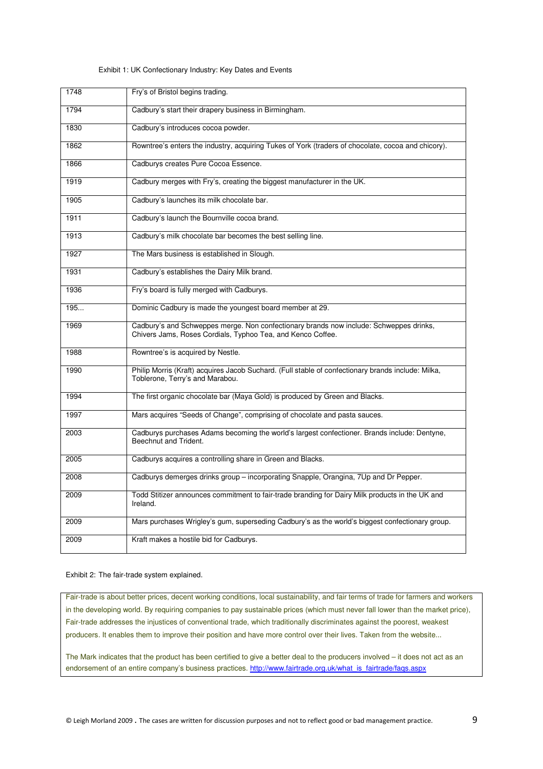| 1748 | Fry's of Bristol begins trading.                                                                                                                      |
|------|-------------------------------------------------------------------------------------------------------------------------------------------------------|
| 1794 | Cadbury's start their drapery business in Birmingham.                                                                                                 |
| 1830 | Cadbury's introduces cocoa powder.                                                                                                                    |
| 1862 | Rowntree's enters the industry, acquiring Tukes of York (traders of chocolate, cocoa and chicory).                                                    |
| 1866 | Cadburys creates Pure Cocoa Essence.                                                                                                                  |
| 1919 | Cadbury merges with Fry's, creating the biggest manufacturer in the UK.                                                                               |
| 1905 | Cadbury's launches its milk chocolate bar.                                                                                                            |
| 1911 | Cadbury's launch the Bournville cocoa brand.                                                                                                          |
| 1913 | Cadbury's milk chocolate bar becomes the best selling line.                                                                                           |
| 1927 | The Mars business is established in Slough.                                                                                                           |
| 1931 | Cadbury's establishes the Dairy Milk brand.                                                                                                           |
| 1936 | Fry's board is fully merged with Cadburys.                                                                                                            |
| 195  | Dominic Cadbury is made the youngest board member at 29.                                                                                              |
| 1969 | Cadbury's and Schweppes merge. Non confectionary brands now include: Schweppes drinks,<br>Chivers Jams, Roses Cordials, Typhoo Tea, and Kenco Coffee. |
| 1988 | Rowntree's is acquired by Nestle.                                                                                                                     |
| 1990 | Philip Morris (Kraft) acquires Jacob Suchard. (Full stable of confectionary brands include: Milka.<br>Toblerone, Terry's and Marabou.                 |
| 1994 | The first organic chocolate bar (Maya Gold) is produced by Green and Blacks.                                                                          |
| 1997 | Mars acquires "Seeds of Change", comprising of chocolate and pasta sauces.                                                                            |
| 2003 | Cadburys purchases Adams becoming the world's largest confectioner. Brands include: Dentyne,<br>Beechnut and Trident.                                 |
| 2005 | Cadburys acquires a controlling share in Green and Blacks.                                                                                            |
| 2008 | Cadburys demerges drinks group - incorporating Snapple, Orangina, 7Up and Dr Pepper.                                                                  |
| 2009 | Todd Stitizer announces commitment to fair-trade branding for Dairy Milk products in the UK and<br>Ireland.                                           |
| 2009 | Mars purchases Wrigley's gum, superseding Cadbury's as the world's biggest confectionary group.                                                       |
| 2009 | Kraft makes a hostile bid for Cadburys.                                                                                                               |

#### Exhibit 1: UK Confectionary Industry: Key Dates and Events

#### Exhibit 2: The fair-trade system explained.

Fair-trade is about better prices, decent working conditions, local sustainability, and fair terms of trade for farmers and workers in the developing world. By requiring companies to pay sustainable prices (which must never fall lower than the market price), Fair-trade addresses the injustices of conventional trade, which traditionally discriminates against the poorest, weakest producers. It enables them to improve their position and have more control over their lives. Taken from the website...

The Mark indicates that the product has been certified to give a better deal to the producers involved – it does not act as an endorsement of an entire company's business practices. http://www.fairtrade.org.uk/what\_is\_fairtrade/faqs.aspx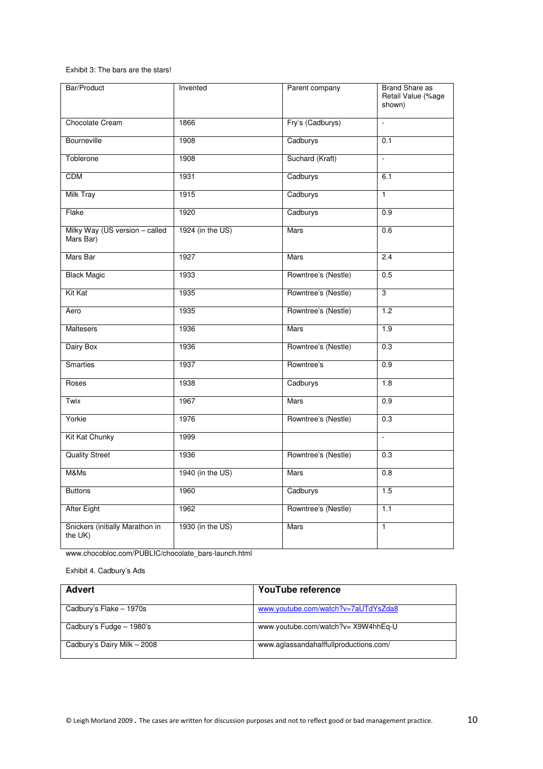#### Exhibit 3: The bars are the stars!

| Bar/Product                                 | Invented         | Parent company      | <b>Brand Share as</b><br>Retail Value (%age<br>shown) |
|---------------------------------------------|------------------|---------------------|-------------------------------------------------------|
| Chocolate Cream                             | 1866             | Fry's (Cadburys)    | $\overline{a}$                                        |
| <b>Bourneville</b>                          | 1908             | Cadburys            | 0.1                                                   |
| Toblerone                                   | 1908             | Suchard (Kraft)     | L.                                                    |
| <b>CDM</b>                                  | 1931             | Cadburys            | 6.1                                                   |
| <b>Milk Tray</b>                            | 1915             | Cadburys            | $\overline{1}$                                        |
| Flake                                       | 1920             | Cadburys            | 0.9                                                   |
| Milky Way (US version - called<br>Mars Bar) | 1924 (in the US) | Mars                | 0.6                                                   |
| Mars Bar                                    | 1927             | Mars                | 2.4                                                   |
| <b>Black Magic</b>                          | 1933             | Rowntree's (Nestle) | 0.5                                                   |
| Kit Kat                                     | 1935             | Rowntree's (Nestle) | $\overline{3}$                                        |
| Aero                                        | 1935             | Rowntree's (Nestle) | 1.2                                                   |
| <b>Maltesers</b>                            | 1936             | Mars                | $\overline{1.9}$                                      |
| Dairy Box                                   | 1936             | Rowntree's (Nestle) | $\overline{0.3}$                                      |
| Smarties                                    | 1937             | Rowntree's          | 0.9                                                   |
| Roses                                       | 1938             | Cadburys            | 1.8                                                   |
| Twix                                        | 1967             | Mars                | 0.9                                                   |
| Yorkie                                      | 1976             | Rowntree's (Nestle) | 0.3                                                   |
| Kit Kat Chunky                              | 1999             |                     | ÷,                                                    |
| <b>Quality Street</b>                       | 1936             | Rowntree's (Nestle) | 0.3                                                   |
| M&Ms                                        | 1940 (in the US) | Mars                | 0.8                                                   |
| <b>Buttons</b>                              | 1960             | Cadburys            | 1.5                                                   |
| <b>After Eight</b>                          | 1962             | Rowntree's (Nestle) | 1.1                                                   |
| Snickers (initially Marathon in<br>the UK)  | 1930 (in the US) | Mars                | $\overline{1}$                                        |

www.chocobloc.com/PUBLIC/chocolate\_bars-launch.html

Exhibit 4. Cadbury's Ads

| <b>Advert</b>               | YouTube reference                      |
|-----------------------------|----------------------------------------|
| Cadbury's Flake - 1970s     | www.youtube.com/watch?v=7aUTdYsZda8    |
| Cadbury's Fudge - 1980's    | www.youtube.com/watch?v= X9W4hhEq-U    |
| Cadbury's Dairy Milk - 2008 | www.aglassandahalffullproductions.com/ |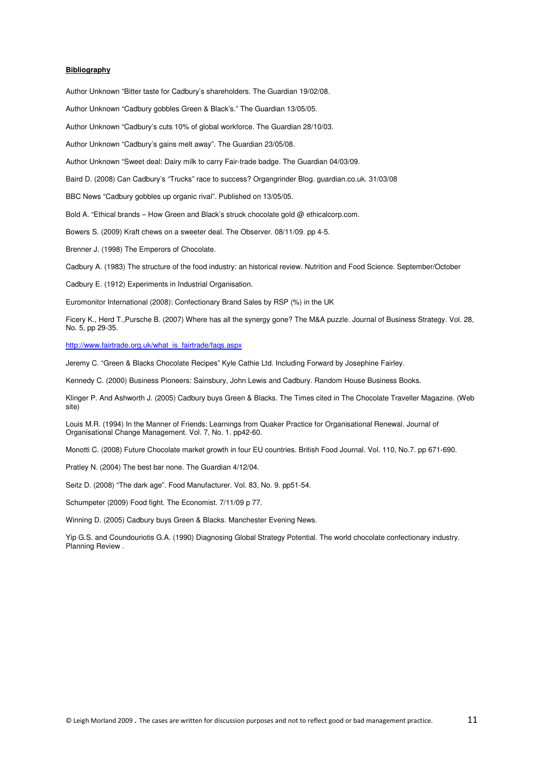#### **Bibliography**

Author Unknown "Bitter taste for Cadbury's shareholders. The Guardian 19/02/08.

Author Unknown "Cadbury gobbles Green & Black's." The Guardian 13/05/05.

Author Unknown "Cadbury's cuts 10% of global workforce. The Guardian 28/10/03.

Author Unknown "Cadbury's gains melt away". The Guardian 23/05/08.

Author Unknown "Sweet deal: Dairy milk to carry Fair-trade badge. The Guardian 04/03/09.

Baird D. (2008) Can Cadbury's "Trucks" race to success? Organgrinder Blog. guardian.co.uk. 31/03/08

BBC News "Cadbury gobbles up organic rival". Published on 13/05/05.

Bold A. "Ethical brands – How Green and Black's struck chocolate gold @ ethicalcorp.com.

Bowers S. (2009) Kraft chews on a sweeter deal. The Observer. 08/11/09. pp 4-5.

Brenner J. (1998) The Emperors of Chocolate.

Cadbury A. (1983) The structure of the food industry: an historical review. Nutrition and Food Science. September/October

Cadbury E. (1912) Experiments in Industrial Organisation.

Euromonitor International (2008): Confectionary Brand Sales by RSP (%) in the UK

Ficery K., Herd T.,Pursche B. (2007) Where has all the synergy gone? The M&A puzzle. Journal of Business Strategy. Vol. 28, No. 5, pp 29-35.

http://www.fairtrade.org.uk/what\_is\_fairtrade/faqs.aspx

Jeremy C. "Green & Blacks Chocolate Recipes" Kyle Cathie Ltd. Including Forward by Josephine Fairley.

Kennedy C. (2000) Business Pioneers: Sainsbury, John Lewis and Cadbury. Random House Business Books.

Klinger P. And Ashworth J. (2005) Cadbury buys Green & Blacks. The Times cited in The Chocolate Traveller Magazine. (Web site)

Louis M.R. (1994) In the Manner of Friends: Learnings from Quaker Practice for Organisational Renewal. Journal of Organisational Change Management. Vol. 7, No. 1. pp42-60.

Monotti C. (2008) Future Chocolate market growth in four EU countries. British Food Journal. Vol. 110, No.7. pp 671-690.

Pratley N. (2004) The best bar none. The Guardian 4/12/04.

Seitz D. (2008) "The dark age". Food Manufacturer. Vol. 83, No. 9. pp51-54.

Schumpeter (2009) Food fight. The Economist. 7/11/09 p 77.

Winning D. (2005) Cadbury buys Green & Blacks. Manchester Evening News.

Yip G.S. and Coundouriotis G.A. (1990) Diagnosing Global Strategy Potential. The world chocolate confectionary industry. Planning Review .